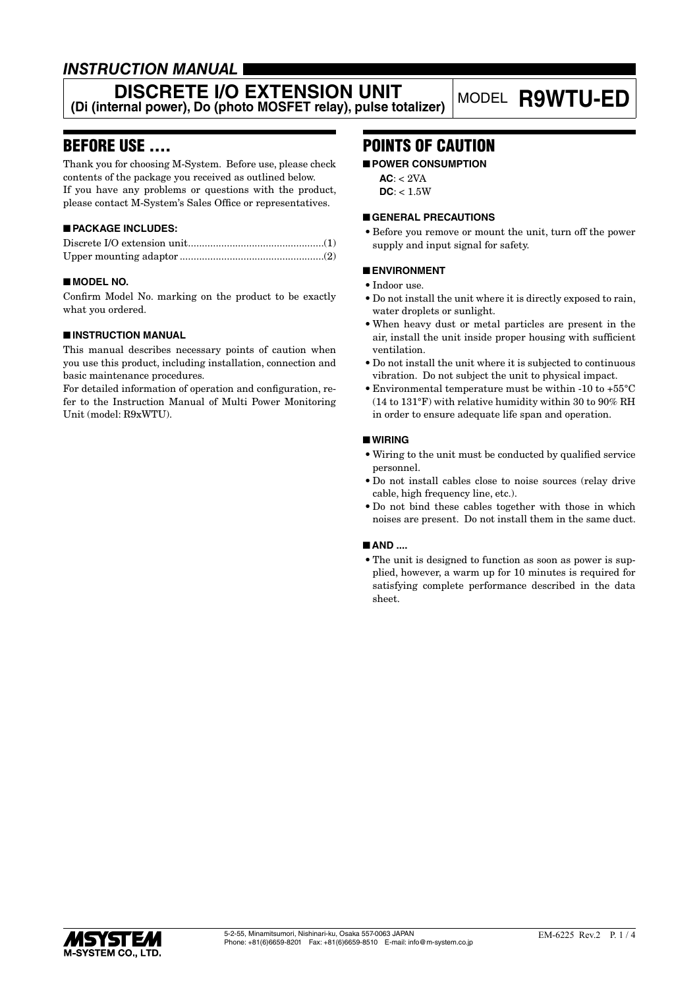# *INSTRUCTION MANUAL*

### **DISCRETE I/O EXTENSION UNIT (Di (internal power), Do (photo MOSFET relay), pulse totalizer)** MODEL **R9WTU-ED**

# BEFORE USE ....

Thank you for choosing M-System. Before use, please check contents of the package you received as outlined below. If you have any problems or questions with the product, please contact M-System's Sales Office or representatives.

### ■ **PACKAGE INCLUDES:**

#### ■ **MODEL NO.**

Confirm Model No. marking on the product to be exactly what you ordered.

#### ■ **INSTRUCTION MANUAL**

This manual describes necessary points of caution when you use this product, including installation, connection and basic maintenance procedures.

For detailed information of operation and configuration, refer to the Instruction Manual of Multi Power Monitoring Unit (model: R9xWTU).

# POINTS OF CAUTION

#### ■ **POWER CONSUMPTION**

 $AC: < 2VA$ 

### $DC: < 1.5W$

#### ■ **GENERAL PRECAUTIONS**

• Before you remove or mount the unit, turn off the power supply and input signal for safety.

#### ■ **ENVIRONMENT**

- Indoor use.
- Do not install the unit where it is directly exposed to rain, water droplets or sunlight.
- When heavy dust or metal particles are present in the air, install the unit inside proper housing with sufficient ventilation.
- Do not install the unit where it is subjected to continuous vibration. Do not subject the unit to physical impact.
- Environmental temperature must be within -10 to +55°C (14 to 131°F) with relative humidity within 30 to 90% RH in order to ensure adequate life span and operation.

#### ■ **WIRING**

- Wiring to the unit must be conducted by qualified service personnel.
- Do not install cables close to noise sources (relay drive cable, high frequency line, etc.).
- Do not bind these cables together with those in which noises are present. Do not install them in the same duct.

#### ■ **AND** ....

• The unit is designed to function as soon as power is supplied, however, a warm up for 10 minutes is required for satisfying complete performance described in the data sheet.

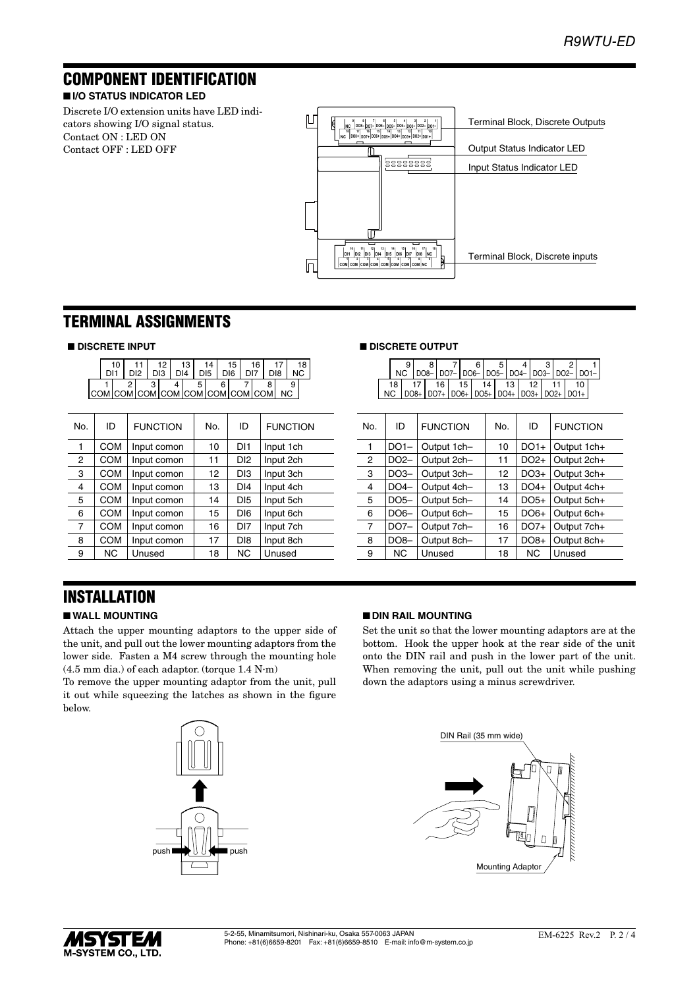# COMPONENT IDENTIFICATION

#### ■ **I/O STATUS INDICATOR LED**

Discrete I/O extension units have LED indicators showing I/O signal status. Contact ON : LED ON Contact OFF : LED OFF



### TERMINAL ASSIGNMENTS

#### ■ **DISCRETE INPUT**

|                                 |  |  | DI3 | DIA |  | D <sub>15</sub> | 15<br>DI <sub>6</sub> | 16 |     |  |
|---------------------------------|--|--|-----|-----|--|-----------------|-----------------------|----|-----|--|
| COM COM COM COM COM COM COM COM |  |  |     |     |  |                 |                       |    | NC. |  |

| No.            | ID         | <b>FUNCTION</b> | No. | ID              | <b>FUNCTION</b> | No. | ID                | <b>FUNCTION</b> | No. | ID     | <b>FUNCTION</b> |
|----------------|------------|-----------------|-----|-----------------|-----------------|-----|-------------------|-----------------|-----|--------|-----------------|
|                | <b>COM</b> | Input comon     | 10  | DI <sub>1</sub> | Input 1ch       |     | $DO1-$            | Output 1ch-     | 10  | $DO1+$ | Output 1ch-     |
| $\overline{2}$ | <b>COM</b> | Input comon     | 11  | D <sub>12</sub> | Input 2ch       | 2   | DO <sub>2</sub> - | Output 2ch-     | 11  | $DO2+$ | Output 2ch-     |
| 3              | <b>COM</b> | Input comon     | 12  | D <sub>13</sub> | Input 3ch       | 3   | $DO3-$            | Output 3ch-     | 12  | $DO3+$ | Output 3ch-     |
| 4              | <b>COM</b> | Input comon     | 13  | DI <sub>4</sub> | Input 4ch       | 4   | $DO4-$            | Output 4ch-     | 13  | $DO4+$ | Output 4ch-     |
| 5              | <b>COM</b> | Input comon     | 14  | D <sub>15</sub> | Input 5ch       | 5   | $DO5-$            | Output 5ch-     | 14  | $DO5+$ | Output 5ch-     |
| 6              | <b>COM</b> | Input comon     | 15  | DI <sub>6</sub> | Input 6ch       | 6   | $DO6-$            | Output 6ch-     | 15  | $DO6+$ | Output 6ch-     |
| 7              | <b>COM</b> | Input comon     | 16  | DI7             | Input 7ch       | 7   | $DO7-$            | Output 7ch-     | 16  | $DO7+$ | Output 7ch-     |
| 8              | <b>COM</b> | Input comon     | 17  | D <sub>18</sub> | Input 8ch       | 8   | $DO8-$            | Output 8ch-     | 17  | $DO8+$ | Output 8ch-     |
| 9              | NC.        | Unused          | 18  | <b>NC</b>       | Unused          | 9   | <b>NC</b>         | Unused          | 18  | NC.    | Unused          |
|                |            |                 |     |                 |                 |     |                   |                 |     |        |                 |

#### ■ **DISCRETE OUTPUT**

|  |     |  |                                                       |      |  |  |            |  |                 |  |    | NC   DO8-   DO7-   DO6-   DO5-   DO4-   DO3-   DO2-   DO1- |
|--|-----|--|-------------------------------------------------------|------|--|--|------------|--|-----------------|--|----|------------------------------------------------------------|
|  |     |  |                                                       | 16 L |  |  | $15$ 14 13 |  | 12 <sub>1</sub> |  | 10 |                                                            |
|  | NC. |  | DO8+   DO7+   DO6+   DO5+   DO4+   DO3+   DO2+   DO1+ |      |  |  |            |  |                 |  |    |                                                            |

| No.            | ID                | <b>FUNCTION</b> | No. | ID               | <b>FUNCTION</b> |
|----------------|-------------------|-----------------|-----|------------------|-----------------|
|                | $DO1-$            | Output 1ch-     | 10  | $DO1+$           | Output 1ch+     |
| 2              | DO <sub>2</sub> - | Output 2ch-     | 11  | DO <sub>2+</sub> | Output 2ch+     |
| 3              | $DO3-$            | Output 3ch-     | 12  | $DO3+$           | Output 3ch+     |
| 4              | $DO4-$            | Output 4ch-     | 13  | $DO4+$           | Output 4ch+     |
| 5              | $DO5-$            | Output 5ch-     | 14  | $DO5+$           | Output 5ch+     |
| 6              | DO6-              | Output 6ch-     | 15  | $DO6+$           | Output 6ch+     |
| $\overline{7}$ | $DO7-$            | Output 7ch-     | 16  | $DO7+$           | Output 7ch+     |
| 8              | $DO8-$            | Output 8ch-     | 17  | $DO8+$           | Output 8ch+     |
| 9              | ΝC                | Unused          | 18  | <b>NC</b>        | Unused          |

# INSTALLATION

### ■ **WALL MOUNTING**

Attach the upper mounting adaptors to the upper side of the unit, and pull out the lower mounting adaptors from the lower side. Fasten a M4 screw through the mounting hole (4.5 mm dia.) of each adaptor. (torque 1.4 N∙m)

To remove the upper mounting adaptor from the unit, pull it out while squeezing the latches as shown in the figure below.



#### ■ **DIN RAIL MOUNTING**

Set the unit so that the lower mounting adaptors are at the bottom. Hook the upper hook at the rear side of the unit onto the DIN rail and push in the lower part of the unit. When removing the unit, pull out the unit while pushing down the adaptors using a minus screwdriver.



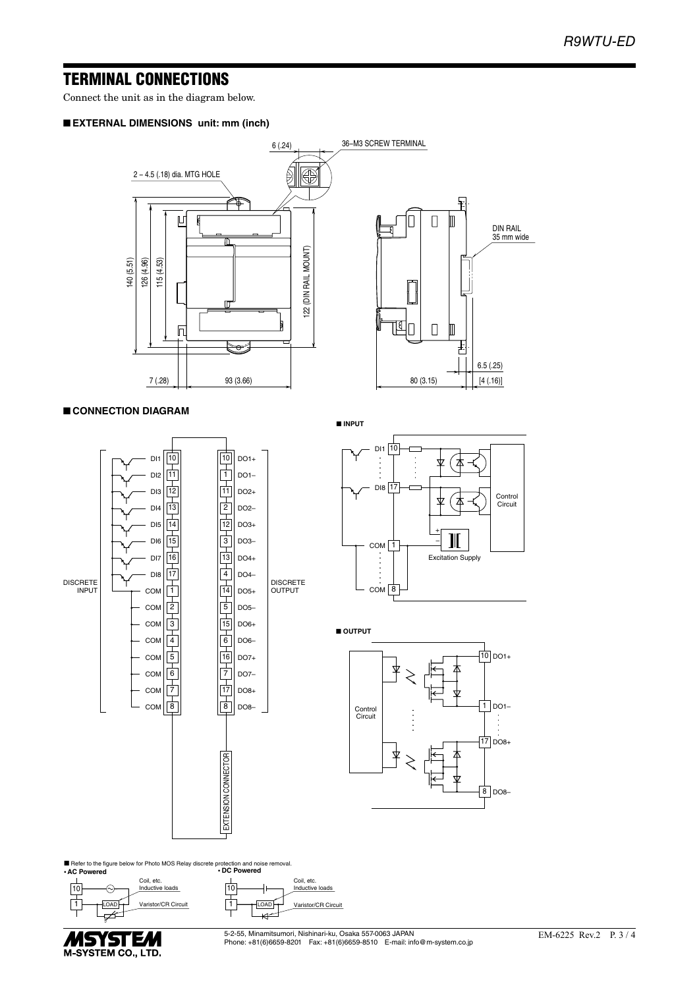### TERMINAL CONNECTIONS

Connect the unit as in the diagram below.

#### ■ **EXTERNAL DIMENSIONS unit: mm (inch)**



#### ■ **CONNECTION DIAGRAM**

■ **INPUT**







10 DO1+

Control Circuit